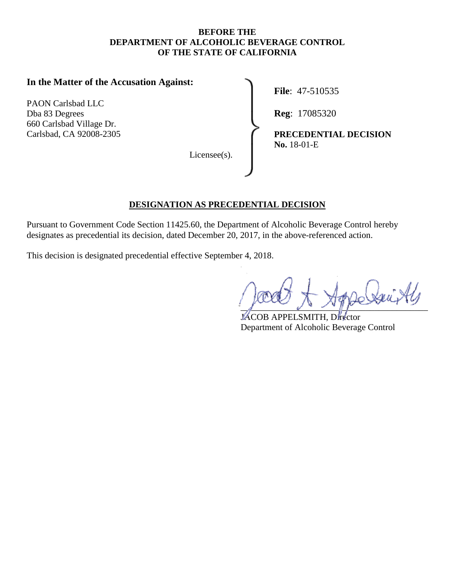#### **BEFORE THE DEPARTMENT OF ALCOHOLIC BEVERAGE CONTROL OF THE STATE OF CALIFORNIA**

### **In the Matter of the Accusation Against:**

 PAON Carlsbad LLC Dba 83 Degrees **Reg**: 17085320 660 Carlsbad Village Dr.

Licensee(s).

**File**: 47-510535

Carlsbad, CA 92008-2305 **PRECEDENTIAL DECISION No.** 18-01-E

### **DESIGNATION AS PRECEDENTIAL DECISION**

Pursuant to Government Code Section [11425.60,](https://11425.60) the Department of Alcoholic Beverage Control hereby designates as precedential its decision, dated December 20, 2017, in the above-referenced action.

This decision is designated precedential effective September 4, 2018.

 $\mathcal{L}$   $\mathcal{L}$   $\mathcal{L}$   $\mathcal{L}$   $\mathcal{L}$   $\mathcal{L}$   $\mathcal{L}$ 

JACOB APPELSMITH, Director Department of Alcoholic Beverage Control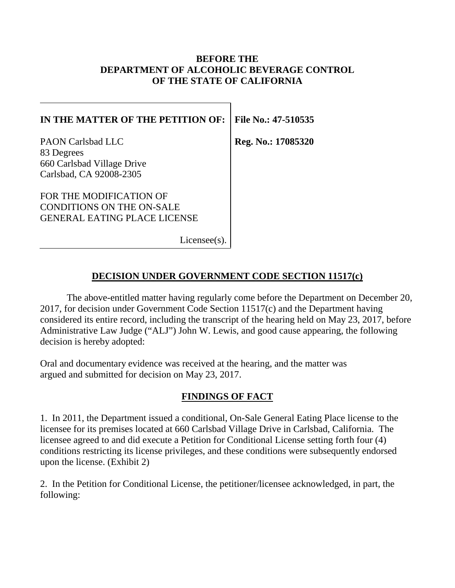### **BEFORE THE DEPARTMENT OF ALCOHOLIC BEVERAGE CONTROL OF THE STATE OF CALIFORNIA**

| IN THE MATTER OF THE PETITION OF:                                                                  | File No.: 47-510535 |
|----------------------------------------------------------------------------------------------------|---------------------|
| <b>PAON Carlsbad LLC</b><br>83 Degrees<br>660 Carlsbad Village Drive<br>Carlsbad, CA 92008-2305    | Reg. No.: 17085320  |
| FOR THE MODIFICATION OF<br><b>CONDITIONS ON THE ON-SALE</b><br><b>GENERAL EATING PLACE LICENSE</b> |                     |
| License(s)                                                                                         |                     |

## **DECISION UNDER GOVERNMENT CODE SECTION 11517(c)**

The above-entitled matter having regularly come before the Department on December 20, 2017, for decision under Government Code Section 11517(c) and the Department having considered its entire record, including the transcript of the hearing held on May 23, 2017, before Administrative Law Judge ("ALJ") John W. Lewis, and good cause appearing, the following decision is hereby adopted:

Oral and documentary evidence was received at the hearing, and the matter was argued and submitted for decision on May 23, 2017.

## **FINDINGS OF FACT**

1. In 2011, the Department issued a conditional, On-Sale General Eating Place license to the licensee for its premises located at 660 Carlsbad Village Drive in Carlsbad, California. The licensee agreed to and did execute a Petition for Conditional License setting forth four (4) conditions restricting its license privileges, and these conditions were subsequently endorsed upon the license. (Exhibit 2)

2. In the Petition for Conditional License, the petitioner/licensee acknowledged, in part, the following: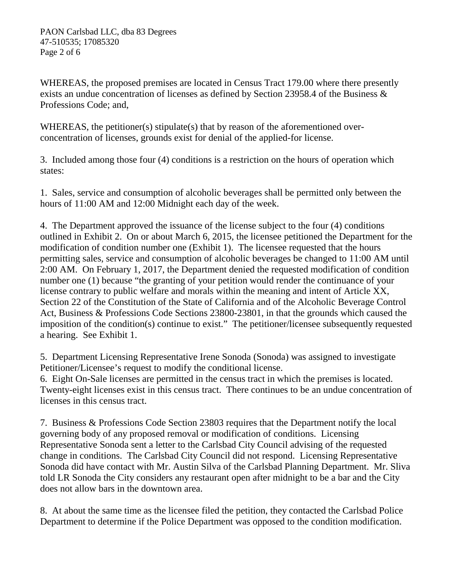WHEREAS, the proposed premises are located in Census Tract 179.00 where there presently exists an undue concentration of licenses as defined by Section 23958.4 of the Business & Professions Code; and,

WHEREAS, the petitioner(s) stipulate(s) that by reason of the aforementioned overconcentration of licenses, grounds exist for denial of the applied-for license.

3. Included among those four (4) conditions is a restriction on the hours of operation which states:

1. Sales, service and consumption of alcoholic beverages shall be permitted only between the hours of 11:00 AM and 12:00 Midnight each day of the week.

4. The Department approved the issuance of the license subject to the four (4) conditions outlined in Exhibit 2. On or about March 6, 2015, the licensee petitioned the Department for the modification of condition number one (Exhibit 1). The licensee requested that the hours permitting sales, service and consumption of alcoholic beverages be changed to 11:00 AM until 2:00 AM. On February 1, 2017, the Department denied the requested modification of condition number one (1) because "the granting of your petition would render the continuance of your license contrary to public welfare and morals within the meaning and intent of Article XX, Section 22 of the Constitution of the State of California and of the Alcoholic Beverage Control Act, Business & Professions Code Sections 23800-23801, in that the grounds which caused the imposition of the condition(s) continue to exist." The petitioner/licensee subsequently requested a hearing. See Exhibit 1.

5. Department Licensing Representative Irene Sonoda (Sonoda) was assigned to investigate Petitioner/Licensee's request to modify the conditional license.

6. Eight On-Sale licenses are permitted in the census tract in which the premises is located. Twenty-eight licenses exist in this census tract. There continues to be an undue concentration of licenses in this census tract.

7. Business & Professions Code Section 23803 requires that the Department notify the local governing body of any proposed removal or modification of conditions. Licensing Representative Sonoda sent a letter to the Carlsbad City Council advising of the requested change in conditions. The Carlsbad City Council did not respond. Licensing Representative Sonoda did have contact with Mr. Austin Silva of the Carlsbad Planning Department. Mr. Sliva told LR Sonoda the City considers any restaurant open after midnight to be a bar and the City does not allow bars in the downtown area.

8. At about the same time as the licensee filed the petition, they contacted the Carlsbad Police Department to determine if the Police Department was opposed to the condition modification.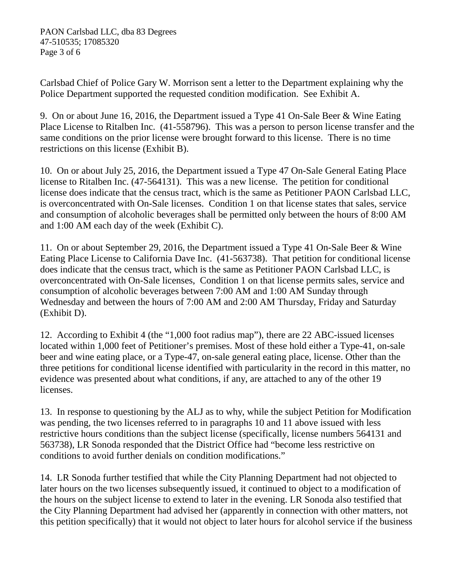Carlsbad Chief of Police Gary W. Morrison sent a letter to the Department explaining why the Police Department supported the requested condition modification. See Exhibit A.

9. On or about June 16, 2016, the Department issued a Type 41 On-Sale Beer & Wine Eating Place License to Ritalben Inc. (41-558796). This was a person to person license transfer and the same conditions on the prior license were brought forward to this license. There is no time restrictions on this license (Exhibit B).

10. On or about July 25, 2016, the Department issued a Type 47 On-Sale General Eating Place license to Ritalben Inc. (47-564131). This was a new license. The petition for conditional license does indicate that the census tract, which is the same as Petitioner PAON Carlsbad LLC, is overconcentrated with On-Sale licenses. Condition 1 on that license states that sales, service and consumption of alcoholic beverages shall be permitted only between the hours of 8:00 AM and 1:00 AM each day of the week (Exhibit C).

11. On or about September 29, 2016, the Department issued a Type 41 On-Sale Beer & Wine Eating Place License to California Dave Inc. (41-563738). That petition for conditional license does indicate that the census tract, which is the same as Petitioner PAON Carlsbad LLC, is overconcentrated with On-Sale licenses, Condition 1 on that license permits sales, service and consumption of alcoholic beverages between 7:00 AM and 1:00 AM Sunday through Wednesday and between the hours of 7:00 AM and 2:00 AM Thursday, Friday and Saturday (Exhibit D).

12. According to Exhibit 4 (the "1,000 foot radius map"), there are 22 ABC-issued licenses located within 1,000 feet of Petitioner's premises. Most of these hold either a Type-41, on-sale beer and wine eating place, or a Type-47, on-sale general eating place, license. Other than the three petitions for conditional license identified with particularity in the record in this matter, no evidence was presented about what conditions, if any, are attached to any of the other 19 licenses.

13. In response to questioning by the ALJ as to why, while the subject Petition for Modification was pending, the two licenses referred to in paragraphs 10 and 11 above issued with less restrictive hours conditions than the subject license (specifically, license numbers 564131 and 563738), LR Sonoda responded that the District Office had "become less restrictive on conditions to avoid further denials on condition modifications."

14. LR Sonoda further testified that while the City Planning Department had not objected to later hours on the two licenses subsequently issued, it continued to object to a modification of the hours on the subject license to extend to later in the evening. LR Sonoda also testified that the City Planning Department had advised her (apparently in connection with other matters, not this petition specifically) that it would not object to later hours for alcohol service if the business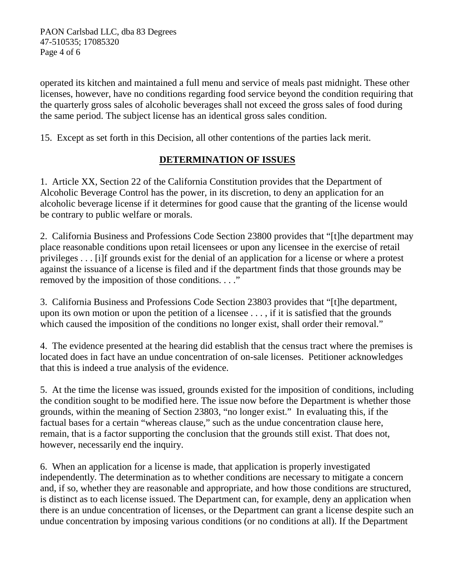Page 4 of 6 PAON Carlsbad LLC, dba 83 Degrees 47-510535; 17085320

operated its kitchen and maintained a full menu and service of meals past midnight. These other licenses, however, have no conditions regarding food service beyond the condition requiring that the quarterly gross sales of alcoholic beverages shall not exceed the gross sales of food during the same period. The subject license has an identical gross sales condition.

15. Except as set forth in this Decision, all other contentions of the parties lack merit.

# **DETERMINATION OF ISSUES**

1. Article XX, Section 22 of the California Constitution provides that the Department of Alcoholic Beverage Control has the power, in its discretion, to deny an application for an alcoholic beverage license if it determines for good cause that the granting of the license would be contrary to public welfare or morals.

 removed by the imposition of those conditions. . . ." 2. California Business and Professions Code Section 23800 provides that "[t]he department may place reasonable conditions upon retail licensees or upon any licensee in the exercise of retail privileges . . . [i]f grounds exist for the denial of an application for a license or where a protest against the issuance of a license is filed and if the department finds that those grounds may be

3. California Business and Professions Code Section 23803 provides that "[t]he department, upon its own motion or upon the petition of a licensee . . . , if it is satisfied that the grounds which caused the imposition of the conditions no longer exist, shall order their removal."

4. The evidence presented at the hearing did establish that the census tract where the premises is located does in fact have an undue concentration of on-sale licenses. Petitioner acknowledges that this is indeed a true analysis of the evidence.

 5. At the time the license was issued, grounds existed for the imposition of conditions, including grounds, within the meaning of Section 23803, "no longer exist." In evaluating this, if the however, necessarily end the inquiry. the condition sought to be modified here. The issue now before the Department is whether those factual bases for a certain "whereas clause," such as the undue concentration clause here, remain, that is a factor supporting the conclusion that the grounds still exist. That does not,

however, necessarily end the inquiry.<br>6. When an application for a license is made, that application is properly investigated independently. The determination as to whether conditions are necessary to mitigate a concern and, if so, whether they are reasonable and appropriate, and how those conditions are structured, is distinct as to each license issued. The Department can, for example, deny an application when there is an undue concentration of licenses, or the Department can grant a license despite such an undue concentration by imposing various conditions (or no conditions at all). If the Department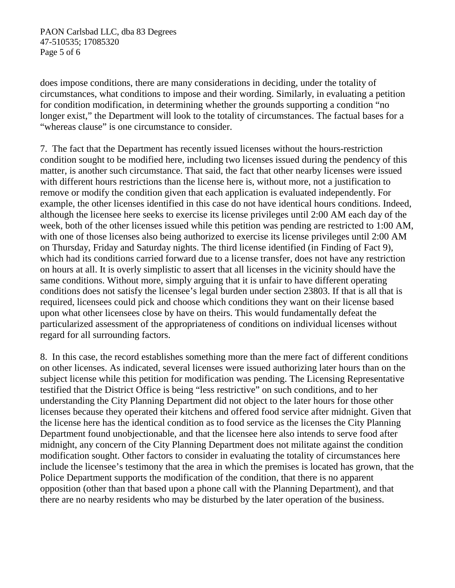Page 5 of 6 PAON Carlsbad LLC, dba 83 Degrees 47-510535; 17085320

does impose conditions, there are many considerations in deciding, under the totality of circumstances, what conditions to impose and their wording. Similarly, in evaluating a petition for condition modification, in determining whether the grounds supporting a condition "no longer exist," the Department will look to the totality of circumstances. The factual bases for a "whereas clause" is one circumstance to consider.

7. The fact that the Department has recently issued licenses without the hours-restriction condition sought to be modified here, including two licenses issued during the pendency of this matter, is another such circumstance. That said, the fact that other nearby licenses were issued with different hours restrictions than the license here is, without more, not a justification to remove or modify the condition given that each application is evaluated independently. For example, the other licenses identified in this case do not have identical hours conditions. Indeed, although the licensee here seeks to exercise its license privileges until 2:00 AM each day of the week, both of the other licenses issued while this petition was pending are restricted to 1:00 AM, with one of those licenses also being authorized to exercise its license privileges until 2:00 AM on Thursday, Friday and Saturday nights. The third license identified (in Finding of Fact 9), which had its conditions carried forward due to a license transfer, does not have any restriction on hours at all. It is overly simplistic to assert that all licenses in the vicinity should have the same conditions. Without more, simply arguing that it is unfair to have different operating conditions does not satisfy the licensee's legal burden under section 23803. If that is all that is required, licensees could pick and choose which conditions they want on their license based upon what other licensees close by have on theirs. This would fundamentally defeat the particularized assessment of the appropriateness of conditions on individual licenses without regard for all surrounding factors.

8. In this case, the record establishes something more than the mere fact of different conditions on other licenses. As indicated, several licenses were issued authorizing later hours than on the subject license while this petition for modification was pending. The Licensing Representative testified that the District Office is being "less restrictive" on such conditions, and to her understanding the City Planning Department did not object to the later hours for those other licenses because they operated their kitchens and offered food service after midnight. Given that the license here has the identical condition as to food service as the licenses the City Planning Department found unobjectionable, and that the licensee here also intends to serve food after midnight, any concern of the City Planning Department does not militate against the condition modification sought. Other factors to consider in evaluating the totality of circumstances here include the licensee's testimony that the area in which the premises is located has grown, that the Police Department supports the modification of the condition, that there is no apparent opposition (other than that based upon a phone call with the Planning Department), and that there are no nearby residents who may be disturbed by the later operation of the business.